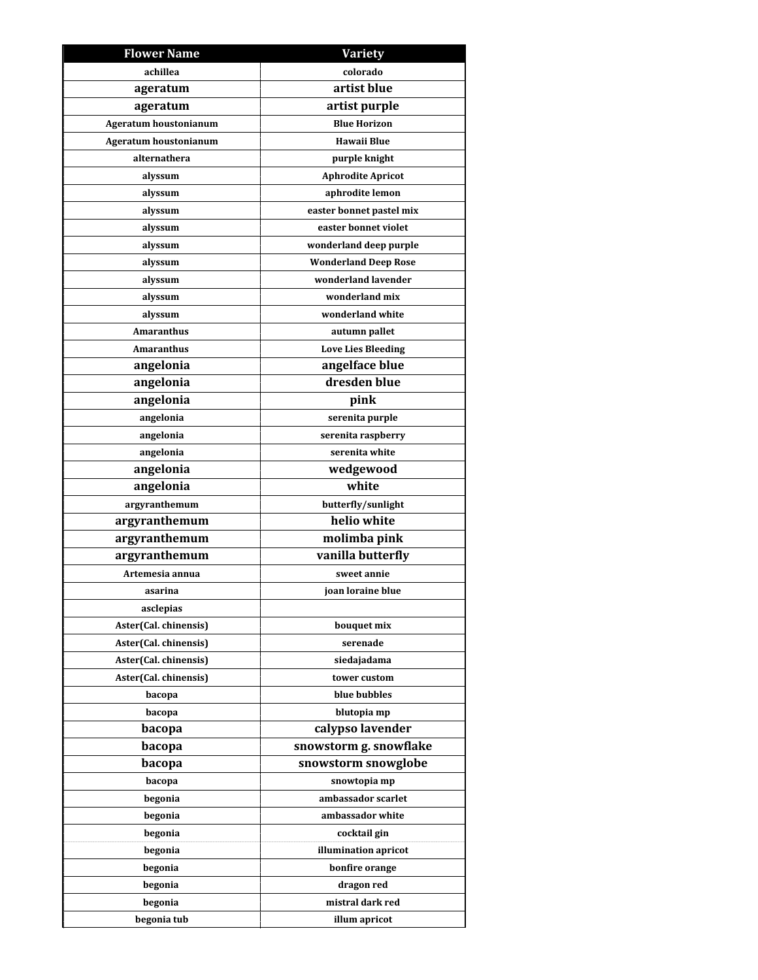| <b>Flower Name</b>    | <b>Variety</b>              |
|-----------------------|-----------------------------|
| achillea              | colorado                    |
| ageratum              | artist blue                 |
| ageratum              | artist purple               |
| Ageratum houstonianum | <b>Blue Horizon</b>         |
| Ageratum houstonianum | <b>Hawaii Blue</b>          |
| alternathera          | purple knight               |
| alyssum               | <b>Aphrodite Apricot</b>    |
| alyssum               | aphrodite lemon             |
| alyssum               | easter bonnet pastel mix    |
| alyssum               | easter bonnet violet        |
| alyssum               | wonderland deep purple      |
| alyssum               | <b>Wonderland Deep Rose</b> |
| alyssum               | wonderland lavender         |
| alyssum               | wonderland mix              |
| alyssum               | wonderland white            |
| <b>Amaranthus</b>     | autumn pallet               |
| <b>Amaranthus</b>     | <b>Love Lies Bleeding</b>   |
| angelonia             | angelface blue              |
| angelonia             | dresden blue                |
| angelonia             | pink                        |
| angelonia             | serenita purple             |
| angelonia             | serenita raspberry          |
| angelonia             | serenita white              |
| angelonia             | wedgewood                   |
| angelonia             | white                       |
| argyranthemum         | butterfly/sunlight          |
| argyranthemum         | helio white                 |
| argyranthemum         | molimba pink                |
| argyranthemum         | vanilla butterfly           |
| Artemesia annua       | sweet annie                 |
| asarina               | joan loraine blue           |
| asclepias             |                             |
| Aster(Cal. chinensis) | bouquet mix                 |
| Aster(Cal. chinensis) | serenade                    |
| Aster(Cal. chinensis) | siedajadama                 |
| Aster(Cal. chinensis) | tower custom                |
| bacopa                | blue bubbles                |
| bacopa                | blutopia mp                 |
| bacopa                | calypso lavender            |
| bacopa                | snowstorm g. snowflake      |
| bacopa                | snowstorm snowglobe         |
| bacopa                | snowtopia mp                |
| begonia               | ambassador scarlet          |
| begonia               | ambassador white            |
| begonia               | cocktail gin                |
| begonia               | illumination apricot        |
| begonia               | bonfire orange              |
| begonia               | dragon red                  |
| begonia               | mistral dark red            |
| begonia tub           | illum apricot               |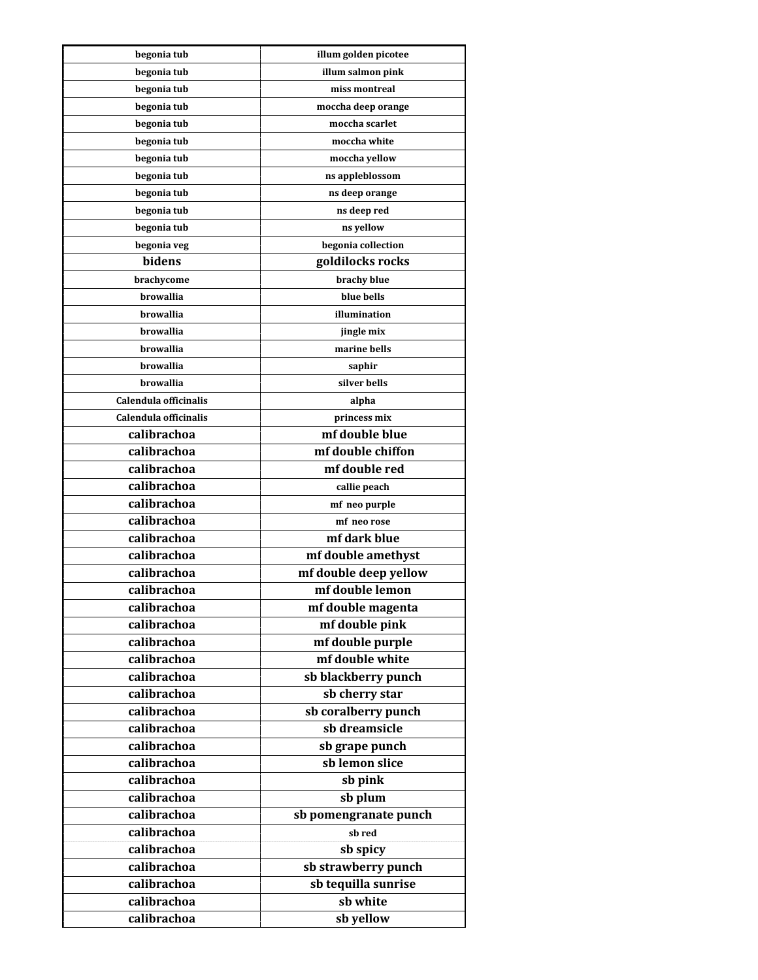| begonia tub           | illum golden picotee  |
|-----------------------|-----------------------|
| begonia tub           | illum salmon pink     |
| begonia tub           | miss montreal         |
| begonia tub           | moccha deep orange    |
| begonia tub           | moccha scarlet        |
| begonia tub           | moccha white          |
| begonia tub           | moccha yellow         |
| begonia tub           | ns appleblossom       |
| begonia tub           | ns deep orange        |
| begonia tub           | ns deep red           |
| begonia tub           | ns yellow             |
| begonia veg           | begonia collection    |
| bidens                | goldilocks rocks      |
| brachycome            | brachy blue           |
| <b>browallia</b>      | blue bells            |
| browallia             | illumination          |
| <b>browallia</b>      | jingle mix            |
| browallia             | marine bells          |
| browallia             | saphir                |
| <b>browallia</b>      | silver bells          |
| Calendula officinalis | alpha                 |
| Calendula officinalis | princess mix          |
| calibrachoa           | mf double blue        |
| calibrachoa           | mf double chiffon     |
| calibrachoa           | mf double red         |
| calibrachoa           | callie peach          |
| calibrachoa           | mf neo purple         |
| calibrachoa           | mf neo rose           |
| calibrachoa           | mf dark blue          |
| calibrachoa           | mf double amethyst    |
| calibrachoa           | mf double deep yellow |
| calibrachoa           | mf double lemon       |
| calibrachoa           | mf double magenta     |
| calibrachoa           | mf double pink        |
| calibrachoa           | mf double purple      |
| calibrachoa           | mf double white       |
| calibrachoa           | sb blackberry punch   |
| calibrachoa           | sb cherry star        |
| calibrachoa           | sb coralberry punch   |
| calibrachoa           | sb dreamsicle         |
| calibrachoa           | sb grape punch        |
| calibrachoa           | sb lemon slice        |
| calibrachoa           |                       |
| calibrachoa           | sb pink               |
|                       | sb plum               |
| calibrachoa           | sb pomengranate punch |
| calibrachoa           | sb red                |
| calibrachoa           | sb spicy              |
| calibrachoa           | sb strawberry punch   |
| calibrachoa           | sb tequilla sunrise   |
| calibrachoa           | sb white              |
| calibrachoa           | sb yellow             |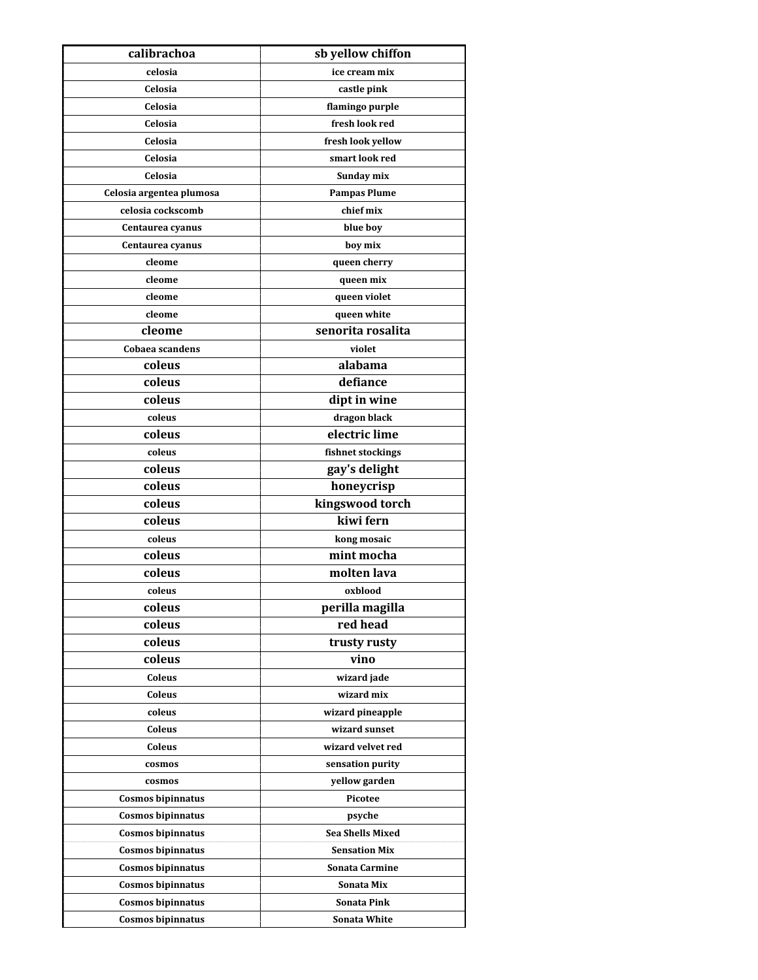| calibrachoa              | sb yellow chiffon       |
|--------------------------|-------------------------|
| celosia                  | ice cream mix           |
| Celosia                  | castle pink             |
| Celosia                  | flamingo purple         |
| Celosia                  | fresh look red          |
| Celosia                  | fresh look yellow       |
| Celosia                  | smart look red          |
| Celosia                  | Sunday mix              |
| Celosia argentea plumosa | <b>Pampas Plume</b>     |
| celosia cockscomb        | chief mix               |
| Centaurea cyanus         | blue boy                |
| Centaurea cyanus         | boy mix                 |
| cleome                   | queen cherry            |
| cleome                   | queen mix               |
| cleome                   | queen violet            |
| cleome                   | queen white             |
| cleome                   | senorita rosalita       |
| Cobaea scandens          | violet                  |
| coleus                   | alabama                 |
| coleus                   | defiance                |
| coleus                   | dipt in wine            |
| coleus                   | dragon black            |
| coleus                   | electric lime           |
| coleus                   | fishnet stockings       |
| coleus                   | gay's delight           |
| coleus                   | honeycrisp              |
| coleus                   | kingswood torch         |
| coleus                   | kiwi fern               |
| coleus                   | kong mosaic             |
| coleus                   | mint mocha              |
| coleus                   | molten lava             |
| coleus                   | oxblood                 |
| coleus                   | perilla magilla         |
| coleus                   | red head                |
| coleus                   | trusty rusty            |
| coleus                   | vino                    |
| Coleus                   | wizard jade             |
| Coleus                   | wizard mix              |
| coleus                   | wizard pineapple        |
| Coleus                   | wizard sunset           |
| Coleus                   | wizard velvet red       |
| cosmos                   | sensation purity        |
| cosmos                   | yellow garden           |
| Cosmos bipinnatus        | Picotee                 |
| Cosmos bipinnatus        | psyche                  |
| Cosmos bipinnatus        | <b>Sea Shells Mixed</b> |
| Cosmos bipinnatus        | <b>Sensation Mix</b>    |
| Cosmos bipinnatus        | Sonata Carmine          |
| Cosmos bipinnatus        | Sonata Mix              |
| Cosmos bipinnatus        | <b>Sonata Pink</b>      |
| Cosmos bipinnatus        | Sonata White            |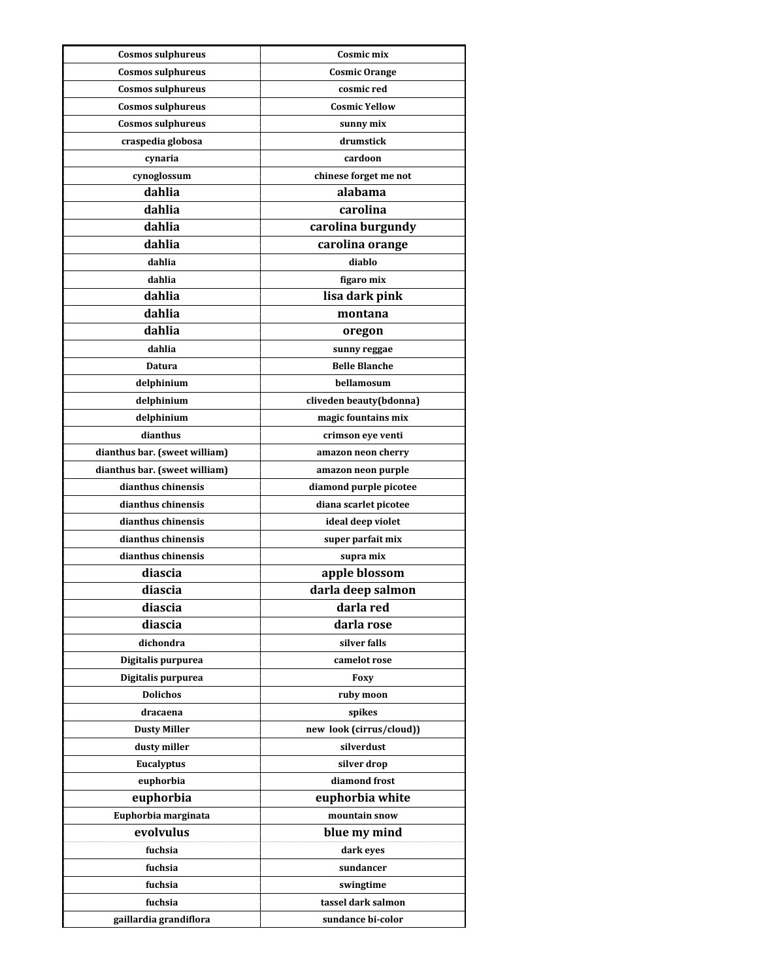| <b>Cosmos sulphureus</b>                            | Cosmic mix               |
|-----------------------------------------------------|--------------------------|
| <b>Cosmos sulphureus</b>                            | <b>Cosmic Orange</b>     |
| <b>Cosmos sulphureus</b>                            | cosmic red               |
| <b>Cosmos sulphureus</b>                            | <b>Cosmic Yellow</b>     |
| <b>Cosmos sulphureus</b>                            | sunny mix                |
| craspedia globosa                                   | drumstick                |
| cynaria                                             | cardoon                  |
| cynoglossum                                         | chinese forget me not    |
| dahlia                                              | alabama                  |
| dahlia                                              | carolina                 |
| dahlia                                              | carolina burgundy        |
| dahlia                                              | carolina orange          |
| dahlia                                              | diablo                   |
| dahlia                                              | figaro mix               |
| dahlia                                              | lisa dark pink           |
| dahlia                                              | montana                  |
| dahlia                                              | oregon                   |
| dahlia                                              | sunny reggae             |
| Datura                                              | <b>Belle Blanche</b>     |
| delphinium                                          | bellamosum               |
| delphinium                                          | cliveden beauty(bdonna)  |
| delphinium                                          | magic fountains mix      |
| dianthus                                            | crimson eye venti        |
|                                                     |                          |
| dianthus bar. (sweet william)                       | amazon neon cherry       |
| dianthus bar. (sweet william)<br>dianthus chinensis | amazon neon purple       |
| dianthus chinensis                                  | diamond purple picotee   |
|                                                     | diana scarlet picotee    |
| dianthus chinensis                                  | ideal deep violet        |
| dianthus chinensis<br>dianthus chinensis            | super parfait mix        |
| diascia                                             | supra mix                |
| diascia                                             | apple blossom            |
|                                                     | darla deep salmon        |
| diascia                                             | darla red                |
| diascia                                             | darla rose               |
| dichondra                                           | silver falls             |
| Digitalis purpurea                                  | camelot rose             |
| Digitalis purpurea                                  | Foxy                     |
| <b>Dolichos</b>                                     | ruby moon                |
| dracaena                                            | spikes                   |
| <b>Dusty Miller</b>                                 | new look (cirrus/cloud)) |
| dusty miller                                        | silverdust               |
| Eucalyptus                                          | silver drop              |
| euphorbia                                           | diamond frost            |
| euphorbia                                           | euphorbia white          |
| Euphorbia marginata                                 | mountain snow            |
| evolvulus                                           | blue my mind             |
| fuchsia                                             | dark eyes                |
| fuchsia                                             | sundancer                |
| fuchsia                                             | swingtime                |
| fuchsia                                             | tassel dark salmon       |
| gaillardia grandiflora                              | sundance bi-color        |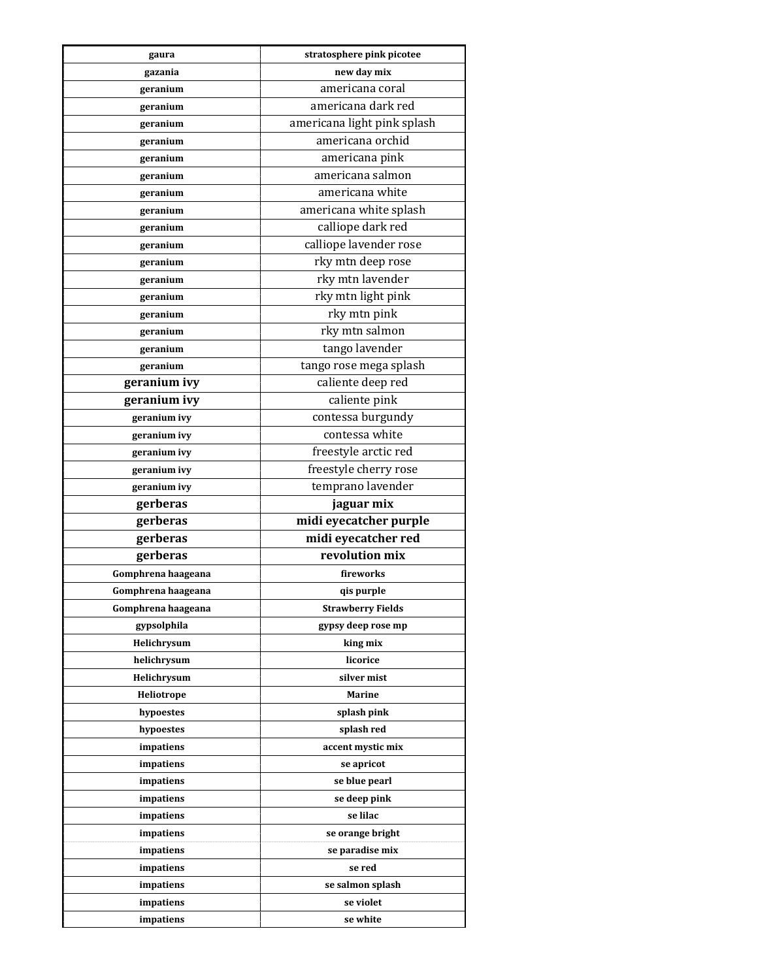| gaura              | stratosphere pink picotee   |
|--------------------|-----------------------------|
| gazania            | new day mix                 |
| geranium           | americana coral             |
| geranium           | americana dark red          |
| geranium           | americana light pink splash |
| geranium           | americana orchid            |
| geranium           | americana pink              |
| geranium           | americana salmon            |
| geranium           | americana white             |
| geranium           | americana white splash      |
| geranium           | calliope dark red           |
| geranium           | calliope lavender rose      |
| geranium           | rky mtn deep rose           |
| geranium           | rky mtn lavender            |
| geranium           | rky mtn light pink          |
| geranium           | rky mtn pink                |
| geranium           | rky mtn salmon              |
| geranium           | tango lavender              |
| geranium           | tango rose mega splash      |
| geranium ivy       | caliente deep red           |
| geranium ivy       | caliente pink               |
| geranium ivy       | contessa burgundy           |
| geranium ivy       | contessa white              |
| geranium ivy       | freestyle arctic red        |
| geranium ivy       | freestyle cherry rose       |
| geranium ivy       | temprano lavender           |
| gerberas           | jaguar mix                  |
| gerberas           | midi eyecatcher purple      |
| gerberas           | midi eyecatcher red         |
| gerberas           | revolution mix              |
| Gomphrena haageana | fireworks                   |
| Gomphrena haageana | qis purple                  |
| Gomphrena haageana | <b>Strawberry Fields</b>    |
| gypsolphila        | gypsy deep rose mp          |
| Helichrysum        | king mix                    |
| helichrysum        | licorice                    |
| Helichrysum        | silver mist                 |
| Heliotrope         | <b>Marine</b>               |
| hypoestes          | splash pink                 |
| hypoestes          | splash red                  |
| impatiens          | accent mystic mix           |
| impatiens          | se apricot                  |
| impatiens          | se blue pearl               |
| impatiens          | se deep pink                |
| impatiens          | se lilac                    |
| impatiens          | se orange bright            |
| impatiens          | se paradise mix             |
| impatiens          | se red                      |
| impatiens          | se salmon splash            |
| impatiens          | se violet                   |
| impatiens          | se white                    |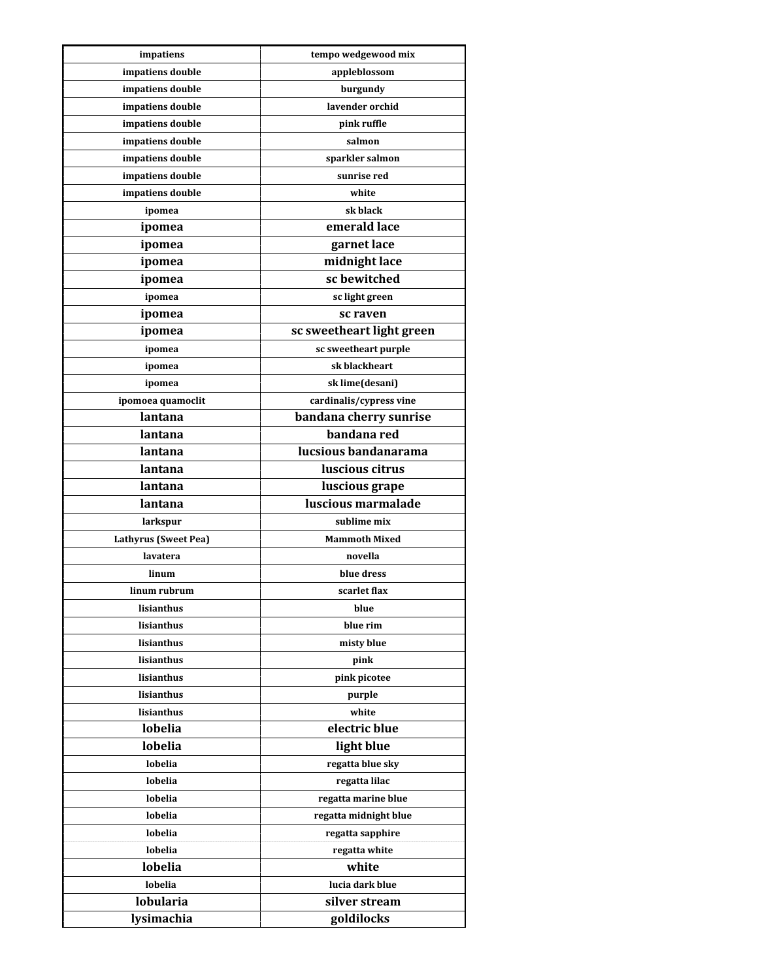| impatiens                        | tempo wedgewood mix         |
|----------------------------------|-----------------------------|
| impatiens double                 | appleblossom                |
| impatiens double                 | burgundy                    |
| impatiens double                 | lavender orchid             |
| impatiens double                 | pink ruffle                 |
| impatiens double                 | salmon                      |
| impatiens double                 | sparkler salmon             |
| impatiens double                 | sunrise red                 |
| impatiens double                 | white                       |
| ipomea                           | sk black                    |
| ipomea                           | emerald lace                |
| ipomea                           | garnet lace                 |
| ipomea                           | midnight lace               |
| ipomea                           | sc bewitched                |
| ipomea                           | sc light green              |
| ipomea                           | sc raven                    |
| ipomea                           | sc sweetheart light green   |
| ipomea                           | sc sweetheart purple        |
| ipomea                           | sk blackheart               |
| ipomea                           | sk lime(desani)             |
| ipomoea quamoclit                | cardinalis/cypress vine     |
| lantana                          | bandana cherry sunrise      |
| lantana                          | bandana red                 |
| lantana                          | lucsious bandanarama        |
| lantana                          | luscious citrus             |
| lantana                          | luscious grape              |
| lantana                          | luscious marmalade          |
|                                  | sublime mix                 |
| larkspur<br>Lathyrus (Sweet Pea) | <b>Mammoth Mixed</b>        |
| lavatera                         | novella                     |
|                                  |                             |
| linum                            | blue dress                  |
| linum rubrum<br>lisianthus       | scarlet flax                |
| lisianthus                       | blue<br>blue rim            |
| lisianthus                       |                             |
|                                  | misty blue                  |
| lisianthus                       | pink                        |
| lisianthus                       | pink picotee                |
| lisianthus                       | purple                      |
| lisianthus<br>lobelia            | white<br>electric blue      |
| lobelia                          |                             |
|                                  | light blue                  |
| lobelia                          | regatta blue sky            |
| lobelia                          | regatta lilac               |
| lobelia                          | regatta marine blue         |
| lobelia                          | regatta midnight blue       |
| lobelia                          | regatta sapphire            |
| lobelia                          | regatta white               |
| lobelia                          |                             |
|                                  | white                       |
| lobelia                          | lucia dark blue             |
| <b>lobularia</b><br>lysimachia   | silver stream<br>goldilocks |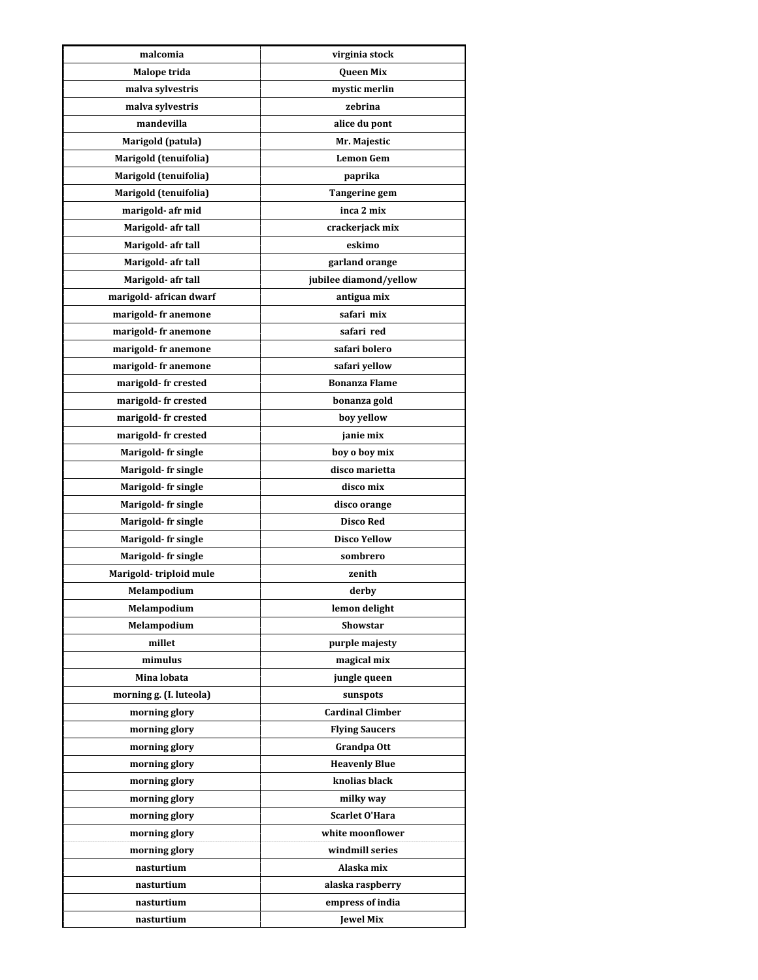| malcomia                | virginia stock          |
|-------------------------|-------------------------|
| Malope trida            | Queen Mix               |
| malva sylvestris        | mystic merlin           |
| malva sylvestris        | zebrina                 |
| mandevilla              | alice du pont           |
| Marigold (patula)       | Mr. Majestic            |
| Marigold (tenuifolia)   | <b>Lemon Gem</b>        |
| Marigold (tenuifolia)   | paprika                 |
| Marigold (tenuifolia)   | <b>Tangerine gem</b>    |
| marigold- afr mid       | inca 2 mix              |
| Marigold- afr tall      | crackerjack mix         |
| Marigold- afr tall      | eskimo                  |
| Marigold- afr tall      | garland orange          |
| Marigold- afr tall      | jubilee diamond/yellow  |
| marigold- african dwarf | antigua mix             |
| marigold- fr anemone    | safari mix              |
| marigold-fr anemone     | safari red              |
| marigold- fr anemone    | safari bolero           |
| marigold-fr anemone     | safari yellow           |
| marigold- fr crested    | <b>Bonanza Flame</b>    |
| marigold-fr crested     | bonanza gold            |
| marigold-fr crested     | boy yellow              |
| marigold- fr crested    | janie mix               |
| Marigold- fr single     | boy o boy mix           |
| Marigold- fr single     | disco marietta          |
| Marigold- fr single     | disco mix               |
| Marigold- fr single     | disco orange            |
| Marigold- fr single     | <b>Disco Red</b>        |
| Marigold- fr single     | <b>Disco Yellow</b>     |
| Marigold- fr single     | sombrero                |
| Marigold-triploid mule  | zenith                  |
| Melampodium             | derby                   |
| Melampodium             | lemon delight           |
| Melampodium             | Showstar                |
| millet                  | purple majesty          |
| mimulus                 | magical mix             |
| Mina lobata             | jungle queen            |
| morning g. (I. luteola) | sunspots                |
| morning glory           | <b>Cardinal Climber</b> |
| morning glory           | <b>Flying Saucers</b>   |
| morning glory           | Grandpa Ott             |
| morning glory           | <b>Heavenly Blue</b>    |
| morning glory           | knolias black           |
| morning glory           | milky way               |
| morning glory           | <b>Scarlet O'Hara</b>   |
| morning glory           | white moonflower        |
| morning glory           | windmill series         |
| nasturtium              | Alaska mix              |
| nasturtium              | alaska raspberry        |
| nasturtium              | empress of india        |
| nasturtium              | <b>Jewel Mix</b>        |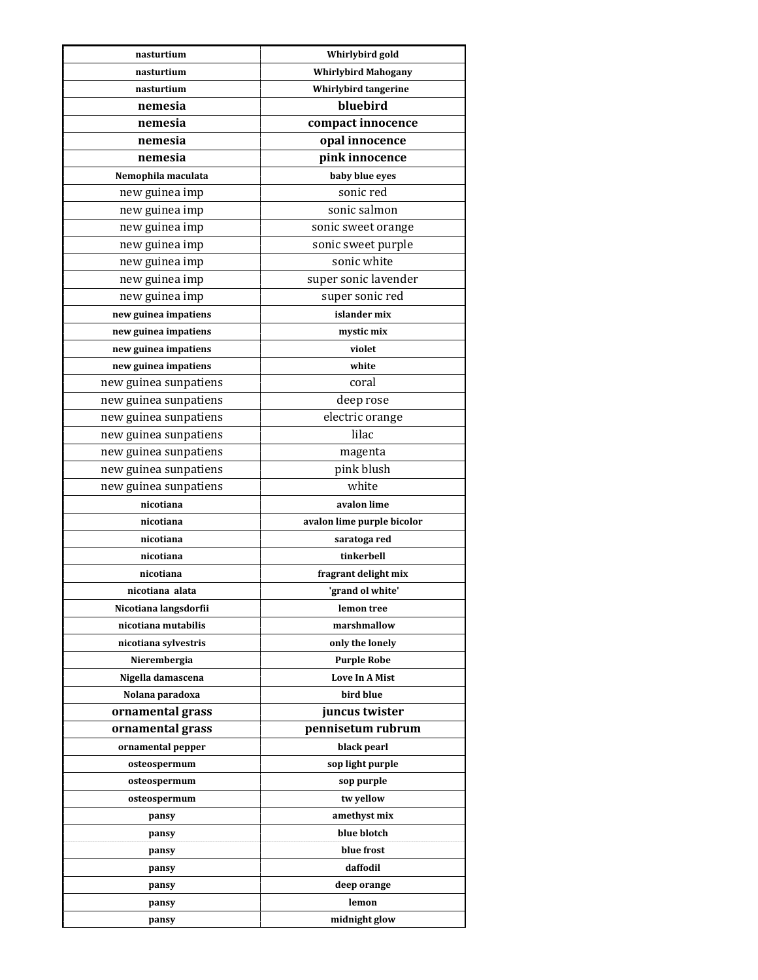| nasturtium            | Whirlybird gold             |
|-----------------------|-----------------------------|
| nasturtium            | <b>Whirlybird Mahogany</b>  |
| nasturtium            | <b>Whirlybird tangerine</b> |
| nemesia               | bluebird                    |
| nemesia               | compact innocence           |
| nemesia               | opal innocence              |
| nemesia               | pink innocence              |
| Nemophila maculata    | baby blue eyes              |
| new guinea imp        | sonic red                   |
| new guinea imp        | sonic salmon                |
| new guinea imp        | sonic sweet orange          |
| new guinea imp        | sonic sweet purple          |
| new guinea imp        | sonic white                 |
| new guinea imp        | super sonic lavender        |
| new guinea imp        | super sonic red             |
| new guinea impatiens  | islander mix                |
| new guinea impatiens  | mystic mix                  |
| new guinea impatiens  | violet                      |
| new guinea impatiens  | white                       |
| new guinea sunpatiens | coral                       |
| new guinea sunpatiens | deep rose                   |
| new guinea sunpatiens | electric orange             |
| new guinea sunpatiens | lilac                       |
| new guinea sunpatiens | magenta                     |
| new guinea sunpatiens | pink blush                  |
| new guinea sunpatiens | white                       |
| nicotiana             | avalon lime                 |
| nicotiana             | avalon lime purple bicolor  |
| nicotiana             | saratoga red                |
| nicotiana             | tinkerbell                  |
| nicotiana             | fragrant delight mix        |
| nicotiana alata       | 'grand ol white'            |
| Nicotiana langsdorfii | lemon tree                  |
| nicotiana mutabilis   | marshmallow                 |
| nicotiana sylvestris  | only the lonely             |
| Nierembergia          | <b>Purple Robe</b>          |
| Nigella damascena     | <b>Love In A Mist</b>       |
| Nolana paradoxa       | bird blue                   |
| ornamental grass      | juncus twister              |
| ornamental grass      | pennisetum rubrum           |
| ornamental pepper     | black pearl                 |
| osteospermum          | sop light purple            |
| osteospermum          | sop purple                  |
| osteospermum          | tw yellow                   |
| pansy                 | amethyst mix                |
| pansy                 | blue blotch                 |
| pansy                 | blue frost                  |
| pansy                 | daffodil                    |
| pansy                 | deep orange                 |
| pansy                 | lemon                       |
| pansy                 | midnight glow               |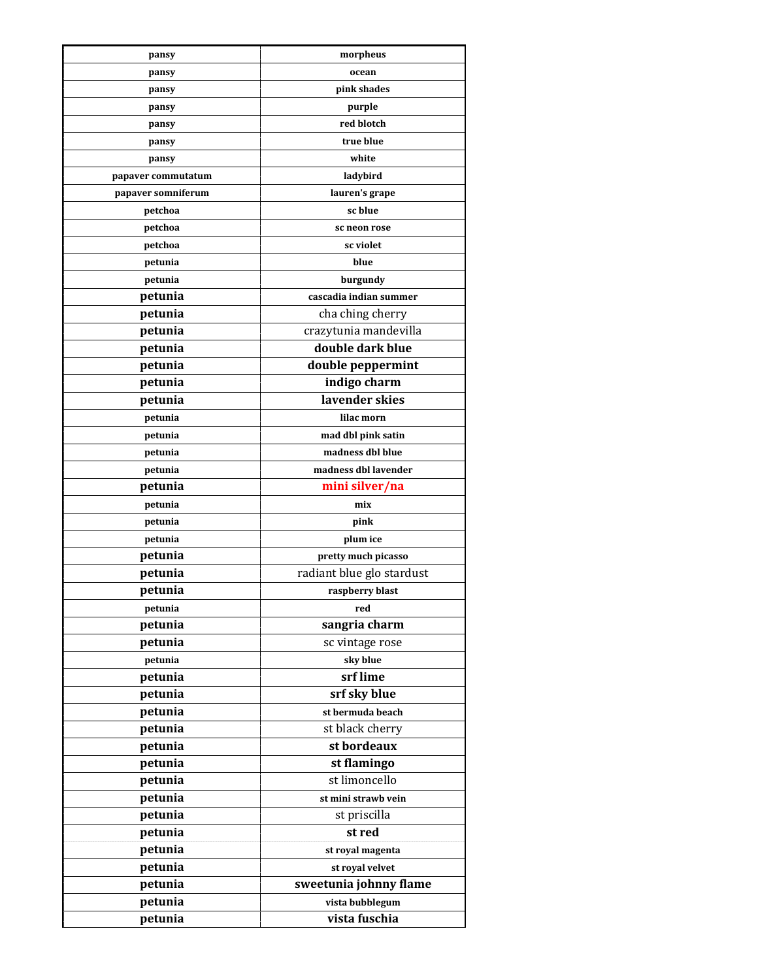| pansy              | morpheus                         |
|--------------------|----------------------------------|
| pansy              | ocean                            |
| pansy              | pink shades                      |
| pansy              | purple                           |
| pansy              | red blotch                       |
| pansy              | true blue                        |
| pansy              | white                            |
| papaver commutatum | ladybird                         |
| papaver somniferum | lauren's grape                   |
| petchoa            | sc blue                          |
| petchoa            | sc neon rose                     |
| petchoa            | sc violet                        |
| petunia            | blue                             |
| petunia            | burgundy                         |
| petunia            | cascadia indian summer           |
| petunia            | cha ching cherry                 |
| petunia            | crazytunia mandevilla            |
| petunia            | double dark blue                 |
| petunia            | double peppermint                |
| petunia            | indigo charm                     |
| petunia            | lavender skies                   |
| petunia            | lilac morn                       |
| petunia            | mad dbl pink satin               |
| petunia            | madness dbl blue                 |
| petunia            | madness dbl lavender             |
| petunia            | mini silver/na                   |
| petunia            | mix                              |
| petunia            | pink                             |
| petunia            | plum ice                         |
| petunia            | pretty much picasso              |
| petunia            | radiant blue glo stardust        |
| petunia            | raspberry blast                  |
| petunia            | red                              |
| petunia            | sangria charm                    |
| petunia            | sc vintage rose                  |
| petunia            | sky blue                         |
| petunia            | srf lime                         |
|                    |                                  |
| petunia<br>petunia | srf sky blue<br>st bermuda beach |
| petunia            | st black cherry                  |
| petunia            | st bordeaux                      |
|                    |                                  |
| petunia<br>petunia | st flamingo<br>st limoncello     |
|                    |                                  |
| petunia            | st mini strawb vein              |
| petunia            | st priscilla                     |
| petunia            | st red                           |
| petunia            | st royal magenta                 |
| petunia            | st royal velvet                  |
| petunia            | sweetunia johnny flame           |
| petunia            | vista bubblegum                  |
| petunia            | vista fuschia                    |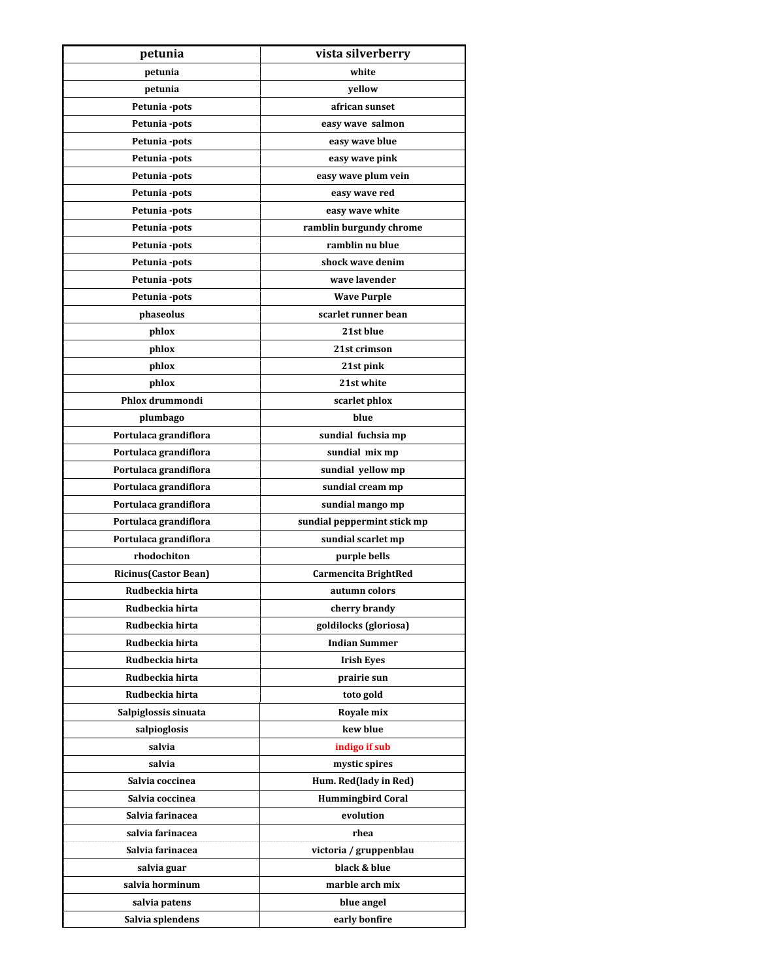| petunia                      | vista silverberry           |
|------------------------------|-----------------------------|
| petunia                      | white                       |
| petunia                      | vellow                      |
| Petunia -pots                | african sunset              |
| Petunia -pots                | easy wave salmon            |
| Petunia -pots                | easy wave blue              |
| Petunia -pots                | easy wave pink              |
| Petunia -pots                | easy wave plum vein         |
| Petunia -pots                | easy wave red               |
| Petunia -pots                | easy wave white             |
| Petunia -pots                | ramblin burgundy chrome     |
| Petunia -pots                | ramblin nu blue             |
| Petunia -pots                | shock wave denim            |
| Petunia -pots                | wave lavender               |
| Petunia -pots                | <b>Wave Purple</b>          |
| phaseolus                    | scarlet runner bean         |
| phlox                        | 21st blue                   |
| phlox                        | 21st crimson                |
| phlox                        | 21st pink                   |
| phlox                        | 21st white                  |
| Phlox drummondi              | scarlet phlox               |
| plumbago                     | blue                        |
| Portulaca grandiflora        | sundial fuchsia mp          |
| Portulaca grandiflora        | sundial mix mp              |
| Portulaca grandiflora        | sundial yellow mp           |
| Portulaca grandiflora        | sundial cream mp            |
| Portulaca grandiflora        | sundial mango mp            |
| Portulaca grandiflora        | sundial peppermint stick mp |
| Portulaca grandiflora        | sundial scarlet mp          |
| rhodochiton                  | purple bells                |
| <b>Ricinus (Castor Bean)</b> | Carmencita BrightRed        |
| Rudbeckia hirta              | autumn colors               |
| Rudbeckia hirta              | cherry brandy               |
| Rudbeckia hirta              | goldilocks (gloriosa)       |
| Rudbeckia hirta              | <b>Indian Summer</b>        |
| Rudbeckia hirta              | <b>Irish Eyes</b>           |
| Rudbeckia hirta              | prairie sun                 |
| Rudbeckia hirta              | toto gold                   |
| Salpiglossis sinuata         | Royale mix                  |
| salpioglosis                 | kew blue                    |
| salvia                       | indigo if sub               |
| salvia                       | mystic spires               |
| Salvia coccinea              | Hum. Red(lady in Red)       |
| Salvia coccinea              | <b>Hummingbird Coral</b>    |
| Salvia farinacea             | evolution                   |
| salvia farinacea             | rhea                        |
| Salvia farinacea             | victoria / gruppenblau      |
| salvia guar                  | black & blue                |
| salvia horminum              | marble arch mix             |
| salvia patens                | blue angel                  |
| Salvia splendens             | early bonfire               |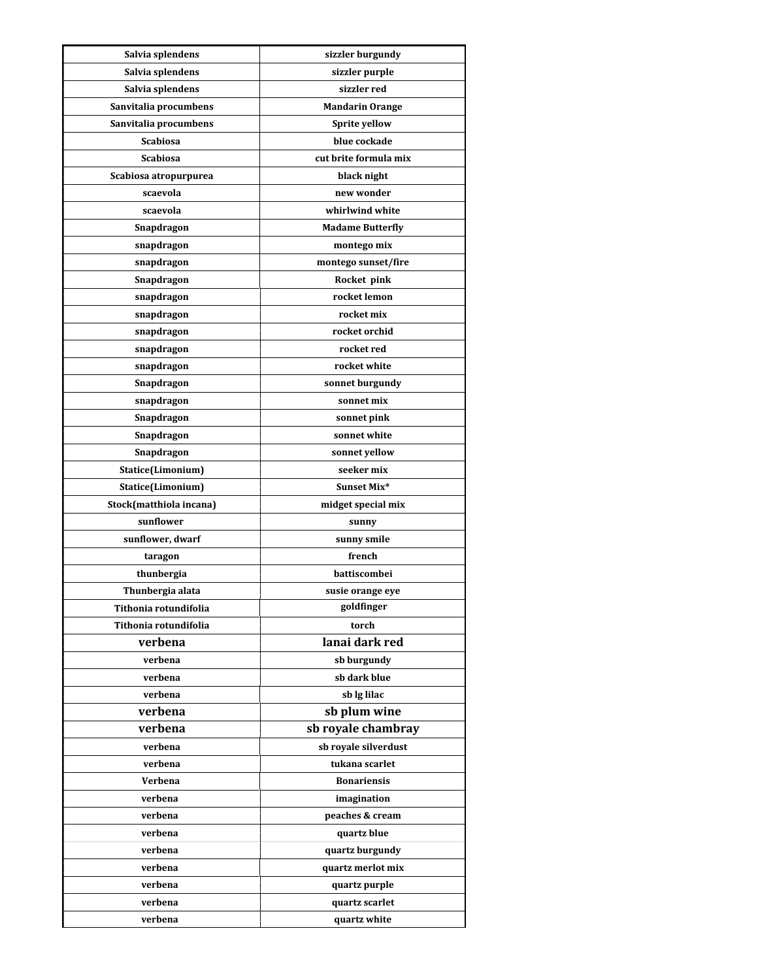| Salvia splendens                          | sizzler burgundy               |
|-------------------------------------------|--------------------------------|
| Salvia splendens                          | sizzler purple                 |
| Salvia splendens                          | sizzler red                    |
| Sanvitalia procumbens                     | <b>Mandarin Orange</b>         |
| Sanvitalia procumbens                     | Sprite yellow                  |
| <b>Scabiosa</b>                           | blue cockade                   |
| <b>Scabiosa</b>                           | cut brite formula mix          |
| Scabiosa atropurpurea                     | black night                    |
| scaevola                                  | new wonder                     |
| scaevola                                  | whirlwind white                |
| Snapdragon                                | <b>Madame Butterfly</b>        |
| snapdragon                                | montego mix                    |
| snapdragon                                | montego sunset/fire            |
| Snapdragon                                | Rocket pink                    |
| snapdragon                                | rocket lemon                   |
| snapdragon                                | rocket mix                     |
| snapdragon                                | rocket orchid                  |
| snapdragon                                | rocket red                     |
| snapdragon                                | rocket white                   |
| Snapdragon                                | sonnet burgundy                |
| snapdragon                                | sonnet mix                     |
| Snapdragon                                | sonnet pink                    |
| Snapdragon                                | sonnet white                   |
| Snapdragon                                | sonnet yellow                  |
| Statice(Limonium)                         | seeker mix                     |
| Statice(Limonium)                         | Sunset Mix*                    |
| Stock(matthiola incana)                   | midget special mix             |
| sunflower                                 |                                |
| sunflower, dwarf                          | sunny<br>sunny smile           |
|                                           | french                         |
| taragon                                   | battiscombei                   |
| thunbergia                                |                                |
| Thunbergia alata<br>Tithonia rotundifolia | susie orange eye<br>goldfinger |
| Tithonia rotundifolia                     |                                |
|                                           | torch<br>lanai dark red        |
| verbena                                   |                                |
| verbena                                   | sb burgundy                    |
| verbena                                   | sb dark blue                   |
| verbena                                   | sb lg lilac                    |
| verbena                                   | sb plum wine                   |
| verbena                                   | sb royale chambray             |
| verbena                                   | sb royale silverdust           |
| verbena                                   | tukana scarlet                 |
| Verbena                                   | <b>Bonariensis</b>             |
| verbena                                   | imagination                    |
| verbena                                   | peaches & cream                |
| verbena                                   | quartz blue                    |
| verbena                                   | quartz burgundy                |
| verbena                                   | quartz merlot mix              |
| verbena                                   | quartz purple                  |
| verbena                                   | quartz scarlet                 |
| verbena                                   | quartz white                   |